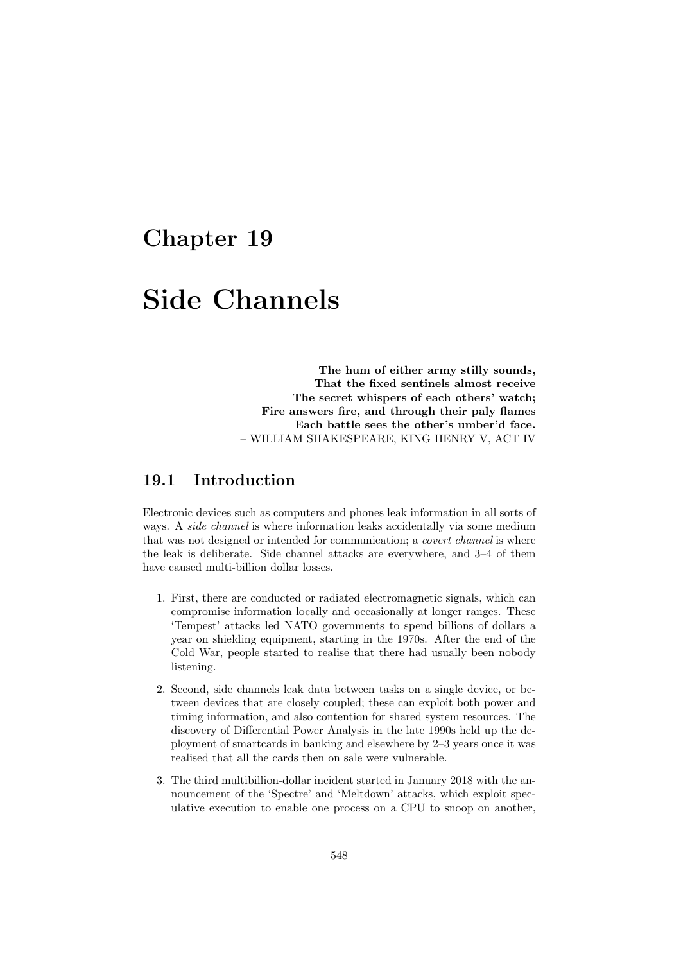# Chapter 19

# Side Channels

The hum of either army stilly sounds, That the fixed sentinels almost receive The secret whispers of each others' watch; Fire answers fire, and through their paly flames Each battle sees the other's umber'd face. – WILLIAM SHAKESPEARE, KING HENRY V, ACT IV

# 19.1 Introduction

Electronic devices such as computers and phones leak information in all sorts of ways. A *side channel* is where information leaks accidentally via some medium that was not designed or intended for communication; a *covert channel* is where the leak is deliberate. Side channel attacks are everywhere, and 3–4 of them have caused multi-billion dollar losses.

- 1. First, there are conducted or radiated electromagnetic signals, which can compromise information locally and occasionally at longer ranges. These 'Tempest' attacks led NATO governments to spend billions of dollars a year on shielding equipment, starting in the 1970s. After the end of the Cold War, people started to realise that there had usually been nobody listening.
- 2. Second, side channels leak data between tasks on a single device, or between devices that are closely coupled; these can exploit both power and timing information, and also contention for shared system resources. The discovery of Differential Power Analysis in the late 1990s held up the deployment of smartcards in banking and elsewhere by 2–3 years once it was realised that all the cards then on sale were vulnerable.
- 3. The third multibillion-dollar incident started in January 2018 with the announcement of the 'Spectre' and 'Meltdown' attacks, which exploit speculative execution to enable one process on a CPU to snoop on another,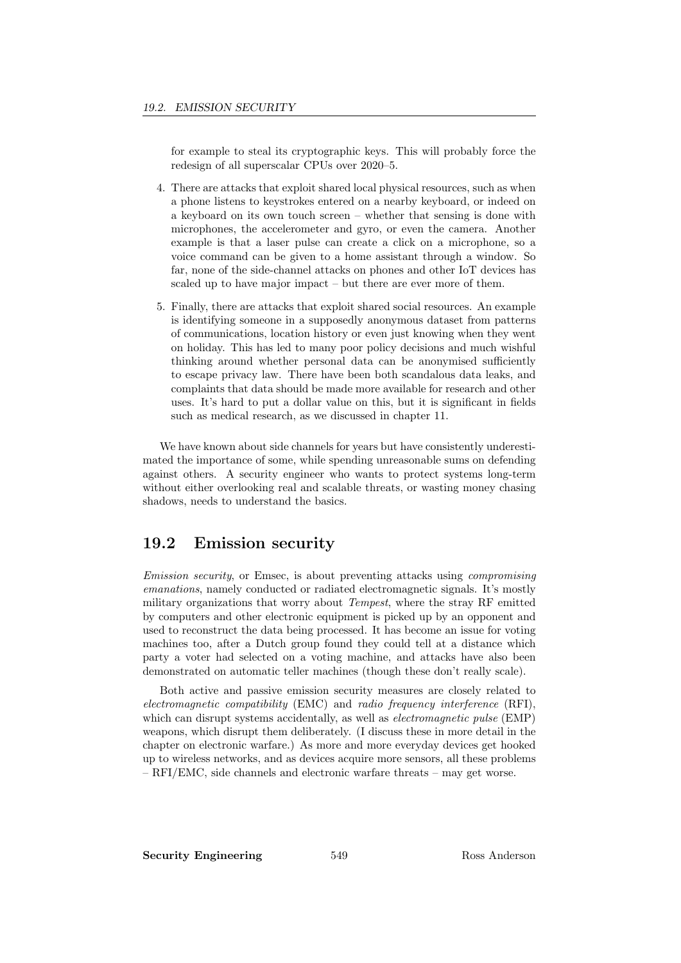for example to steal its cryptographic keys. This will probably force the redesign of all superscalar CPUs over 2020–5.

- 4. There are attacks that exploit shared local physical resources, such as when a phone listens to keystrokes entered on a nearby keyboard, or indeed on a keyboard on its own touch screen – whether that sensing is done with microphones, the accelerometer and gyro, or even the camera. Another example is that a laser pulse can create a click on a microphone, so a voice command can be given to a home assistant through a window. So far, none of the side-channel attacks on phones and other IoT devices has scaled up to have major impact – but there are ever more of them.
- 5. Finally, there are attacks that exploit shared social resources. An example is identifying someone in a supposedly anonymous dataset from patterns of communications, location history or even just knowing when they went on holiday. This has led to many poor policy decisions and much wishful thinking around whether personal data can be anonymised sufficiently to escape privacy law. There have been both scandalous data leaks, and complaints that data should be made more available for research and other uses. It's hard to put a dollar value on this, but it is significant in fields such as medical research, as we discussed in chapter 11.

We have known about side channels for years but have consistently underestimated the importance of some, while spending unreasonable sums on defending against others. A security engineer who wants to protect systems long-term without either overlooking real and scalable threats, or wasting money chasing shadows, needs to understand the basics.

# 19.2 Emission security

*Emission security*, or Emsec, is about preventing attacks using *compromising emanations*, namely conducted or radiated electromagnetic signals. It's mostly military organizations that worry about *Tempest*, where the stray RF emitted by computers and other electronic equipment is picked up by an opponent and used to reconstruct the data being processed. It has become an issue for voting machines too, after a Dutch group found they could tell at a distance which party a voter had selected on a voting machine, and attacks have also been demonstrated on automatic teller machines (though these don't really scale).

Both active and passive emission security measures are closely related to *electromagnetic compatibility* (EMC) and *radio frequency interference* (RFI), which can disrupt systems accidentally, as well as *electromagnetic pulse* (EMP) weapons, which disrupt them deliberately. (I discuss these in more detail in the chapter on electronic warfare.) As more and more everyday devices get hooked up to wireless networks, and as devices acquire more sensors, all these problems – RFI/EMC, side channels and electronic warfare threats – may get worse.

Security Engineering 549 Ross Anderson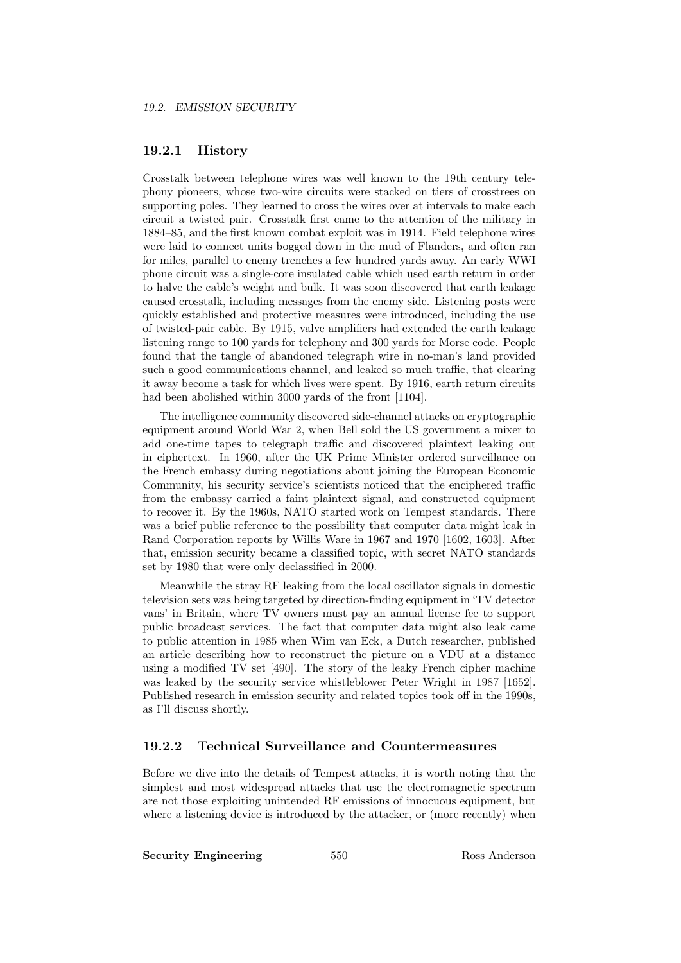#### 19.2.1 History

Crosstalk between telephone wires was well known to the 19th century telephony pioneers, whose two-wire circuits were stacked on tiers of crosstrees on supporting poles. They learned to cross the wires over at intervals to make each circuit a twisted pair. Crosstalk first came to the attention of the military in 1884–85, and the first known combat exploit was in 1914. Field telephone wires were laid to connect units bogged down in the mud of Flanders, and often ran for miles, parallel to enemy trenches a few hundred yards away. An early WWI phone circuit was a single-core insulated cable which used earth return in order to halve the cable's weight and bulk. It was soon discovered that earth leakage caused crosstalk, including messages from the enemy side. Listening posts were quickly established and protective measures were introduced, including the use of twisted-pair cable. By 1915, valve amplifiers had extended the earth leakage listening range to 100 yards for telephony and 300 yards for Morse code. People found that the tangle of abandoned telegraph wire in no-man's land provided such a good communications channel, and leaked so much traffic, that clearing it away become a task for which lives were spent. By 1916, earth return circuits had been abolished within 3000 yards of the front [1104].

The intelligence community discovered side-channel attacks on cryptographic equipment around World War 2, when Bell sold the US government a mixer to add one-time tapes to telegraph traffic and discovered plaintext leaking out in ciphertext. In 1960, after the UK Prime Minister ordered surveillance on the French embassy during negotiations about joining the European Economic Community, his security service's scientists noticed that the enciphered traffic from the embassy carried a faint plaintext signal, and constructed equipment to recover it. By the 1960s, NATO started work on Tempest standards. There was a brief public reference to the possibility that computer data might leak in Rand Corporation reports by Willis Ware in 1967 and 1970 [1602, 1603]. After that, emission security became a classified topic, with secret NATO standards set by 1980 that were only declassified in 2000.

Meanwhile the stray RF leaking from the local oscillator signals in domestic television sets was being targeted by direction-finding equipment in 'TV detector vans' in Britain, where TV owners must pay an annual license fee to support public broadcast services. The fact that computer data might also leak came to public attention in 1985 when Wim van Eck, a Dutch researcher, published an article describing how to reconstruct the picture on a VDU at a distance using a modified TV set [490]. The story of the leaky French cipher machine was leaked by the security service whistleblower Peter Wright in 1987 [1652]. Published research in emission security and related topics took off in the 1990s, as I'll discuss shortly.

#### 19.2.2 Technical Surveillance and Countermeasures

Before we dive into the details of Tempest attacks, it is worth noting that the simplest and most widespread attacks that use the electromagnetic spectrum are not those exploiting unintended RF emissions of innocuous equipment, but where a listening device is introduced by the attacker, or (more recently) when

Security Engineering 550 Ross Anderson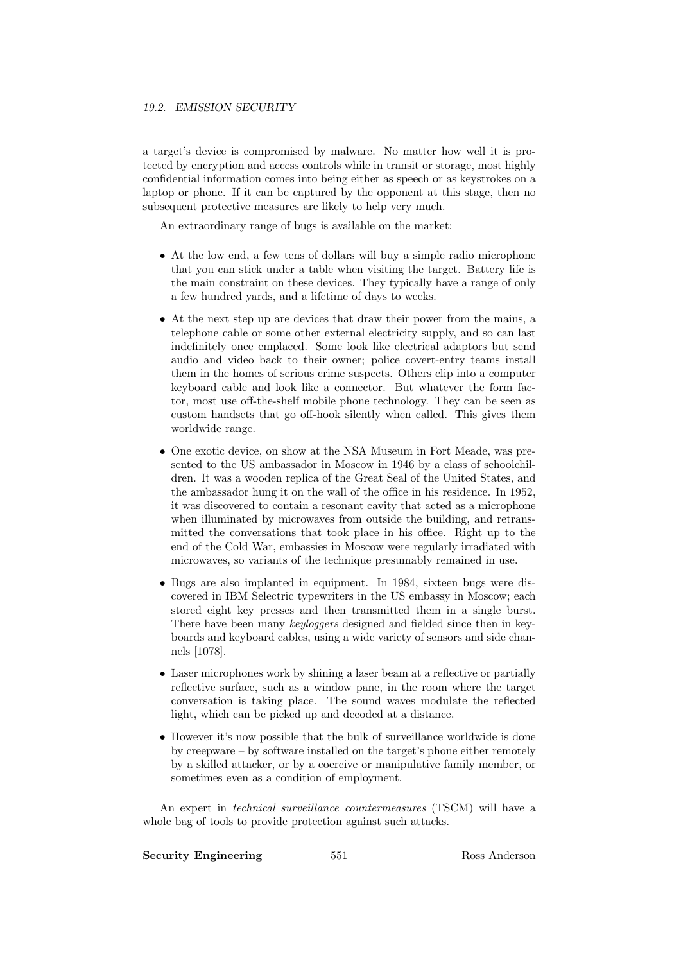a target's device is compromised by malware. No matter how well it is protected by encryption and access controls while in transit or storage, most highly confidential information comes into being either as speech or as keystrokes on a laptop or phone. If it can be captured by the opponent at this stage, then no subsequent protective measures are likely to help very much.

An extraordinary range of bugs is available on the market:

- At the low end, a few tens of dollars will buy a simple radio microphone that you can stick under a table when visiting the target. Battery life is the main constraint on these devices. They typically have a range of only a few hundred yards, and a lifetime of days to weeks.
- At the next step up are devices that draw their power from the mains, a telephone cable or some other external electricity supply, and so can last indefinitely once emplaced. Some look like electrical adaptors but send audio and video back to their owner; police covert-entry teams install them in the homes of serious crime suspects. Others clip into a computer keyboard cable and look like a connector. But whatever the form factor, most use off-the-shelf mobile phone technology. They can be seen as custom handsets that go off-hook silently when called. This gives them worldwide range.
- *•* One exotic device, on show at the NSA Museum in Fort Meade, was presented to the US ambassador in Moscow in 1946 by a class of schoolchildren. It was a wooden replica of the Great Seal of the United States, and the ambassador hung it on the wall of the office in his residence. In 1952, it was discovered to contain a resonant cavity that acted as a microphone when illuminated by microwaves from outside the building, and retransmitted the conversations that took place in his office. Right up to the end of the Cold War, embassies in Moscow were regularly irradiated with microwaves, so variants of the technique presumably remained in use.
- Bugs are also implanted in equipment. In 1984, sixteen bugs were discovered in IBM Selectric typewriters in the US embassy in Moscow; each stored eight key presses and then transmitted them in a single burst. There have been many *keyloggers* designed and fielded since then in keyboards and keyboard cables, using a wide variety of sensors and side channels [1078].
- Laser microphones work by shining a laser beam at a reflective or partially reflective surface, such as a window pane, in the room where the target conversation is taking place. The sound waves modulate the reflected light, which can be picked up and decoded at a distance.
- However it's now possible that the bulk of surveillance worldwide is done by creepware – by software installed on the target's phone either remotely by a skilled attacker, or by a coercive or manipulative family member, or sometimes even as a condition of employment.

An expert in *technical surveillance countermeasures* (TSCM) will have a whole bag of tools to provide protection against such attacks.

Security Engineering 551 Ross Anderson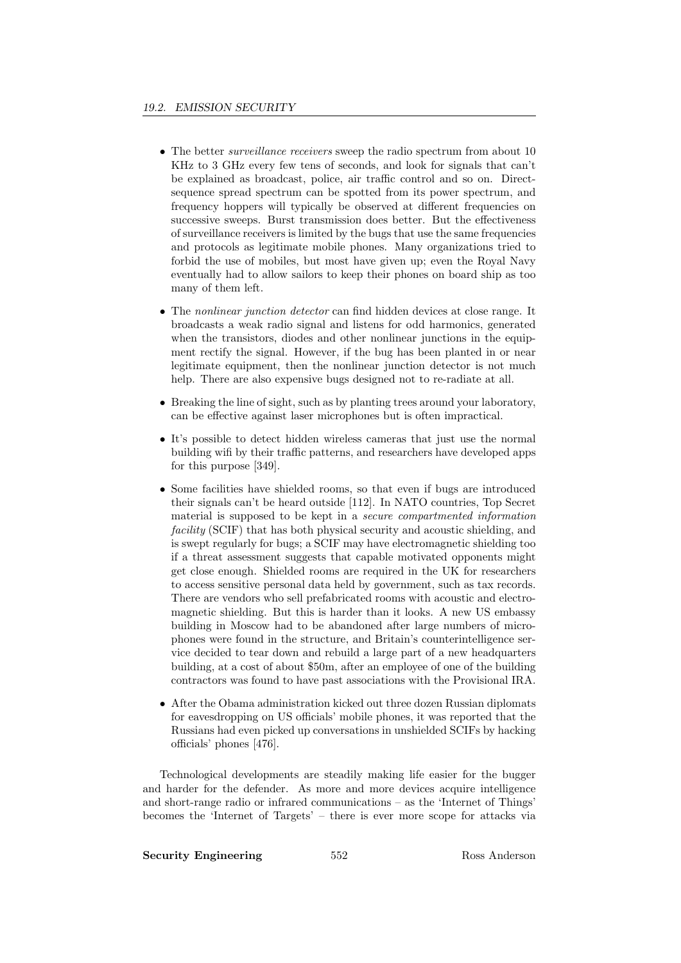- *•* The better *surveillance receivers* sweep the radio spectrum from about 10 KHz to 3 GHz every few tens of seconds, and look for signals that can't be explained as broadcast, police, air traffic control and so on. Directsequence spread spectrum can be spotted from its power spectrum, and frequency hoppers will typically be observed at different frequencies on successive sweeps. Burst transmission does better. But the effectiveness of surveillance receivers is limited by the bugs that use the same frequencies and protocols as legitimate mobile phones. Many organizations tried to forbid the use of mobiles, but most have given up; even the Royal Navy eventually had to allow sailors to keep their phones on board ship as too many of them left.
- *•* The *nonlinear junction detector* can find hidden devices at close range. It broadcasts a weak radio signal and listens for odd harmonics, generated when the transistors, diodes and other nonlinear junctions in the equipment rectify the signal. However, if the bug has been planted in or near legitimate equipment, then the nonlinear junction detector is not much help. There are also expensive bugs designed not to re-radiate at all.
- *•* Breaking the line of sight, such as by planting trees around your laboratory, can be effective against laser microphones but is often impractical.
- It's possible to detect hidden wireless cameras that just use the normal building wifi by their traffic patterns, and researchers have developed apps for this purpose [349].
- *•* Some facilities have shielded rooms, so that even if bugs are introduced their signals can't be heard outside [112]. In NATO countries, Top Secret material is supposed to be kept in a *secure compartmented information facility* (SCIF) that has both physical security and acoustic shielding, and is swept regularly for bugs; a SCIF may have electromagnetic shielding too if a threat assessment suggests that capable motivated opponents might get close enough. Shielded rooms are required in the UK for researchers to access sensitive personal data held by government, such as tax records. There are vendors who sell prefabricated rooms with acoustic and electromagnetic shielding. But this is harder than it looks. A new US embassy building in Moscow had to be abandoned after large numbers of microphones were found in the structure, and Britain's counterintelligence service decided to tear down and rebuild a large part of a new headquarters building, at a cost of about \$50m, after an employee of one of the building contractors was found to have past associations with the Provisional IRA.
- After the Obama administration kicked out three dozen Russian diplomats for eavesdropping on US officials' mobile phones, it was reported that the Russians had even picked up conversations in unshielded SCIFs by hacking officials' phones [476].

Technological developments are steadily making life easier for the bugger and harder for the defender. As more and more devices acquire intelligence and short-range radio or infrared communications – as the 'Internet of Things' becomes the 'Internet of Targets' – there is ever more scope for attacks via

Security Engineering 552 Ross Anderson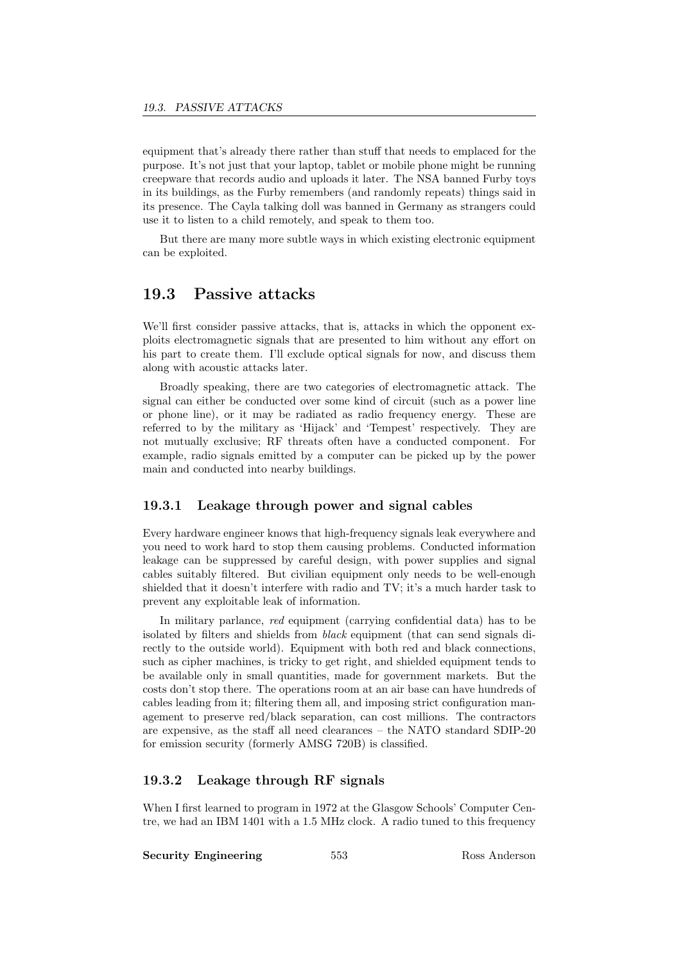equipment that's already there rather than stuff that needs to emplaced for the purpose. It's not just that your laptop, tablet or mobile phone might be running creepware that records audio and uploads it later. The NSA banned Furby toys in its buildings, as the Furby remembers (and randomly repeats) things said in its presence. The Cayla talking doll was banned in Germany as strangers could use it to listen to a child remotely, and speak to them too.

But there are many more subtle ways in which existing electronic equipment can be exploited.

# 19.3 Passive attacks

We'll first consider passive attacks, that is, attacks in which the opponent exploits electromagnetic signals that are presented to him without any effort on his part to create them. I'll exclude optical signals for now, and discuss them along with acoustic attacks later.

Broadly speaking, there are two categories of electromagnetic attack. The signal can either be conducted over some kind of circuit (such as a power line or phone line), or it may be radiated as radio frequency energy. These are referred to by the military as 'Hijack' and 'Tempest' respectively. They are not mutually exclusive; RF threats often have a conducted component. For example, radio signals emitted by a computer can be picked up by the power main and conducted into nearby buildings.

#### 19.3.1 Leakage through power and signal cables

Every hardware engineer knows that high-frequency signals leak everywhere and you need to work hard to stop them causing problems. Conducted information leakage can be suppressed by careful design, with power supplies and signal cables suitably filtered. But civilian equipment only needs to be well-enough shielded that it doesn't interfere with radio and TV; it's a much harder task to prevent any exploitable leak of information.

In military parlance, *red* equipment (carrying confidential data) has to be isolated by filters and shields from *black* equipment (that can send signals directly to the outside world). Equipment with both red and black connections, such as cipher machines, is tricky to get right, and shielded equipment tends to be available only in small quantities, made for government markets. But the costs don't stop there. The operations room at an air base can have hundreds of cables leading from it; filtering them all, and imposing strict configuration management to preserve red/black separation, can cost millions. The contractors are expensive, as the staff all need clearances – the NATO standard SDIP-20 for emission security (formerly AMSG 720B) is classified.

#### 19.3.2 Leakage through RF signals

When I first learned to program in 1972 at the Glasgow Schools' Computer Centre, we had an IBM 1401 with a 1.5 MHz clock. A radio tuned to this frequency

Security Engineering 553 Ross Anderson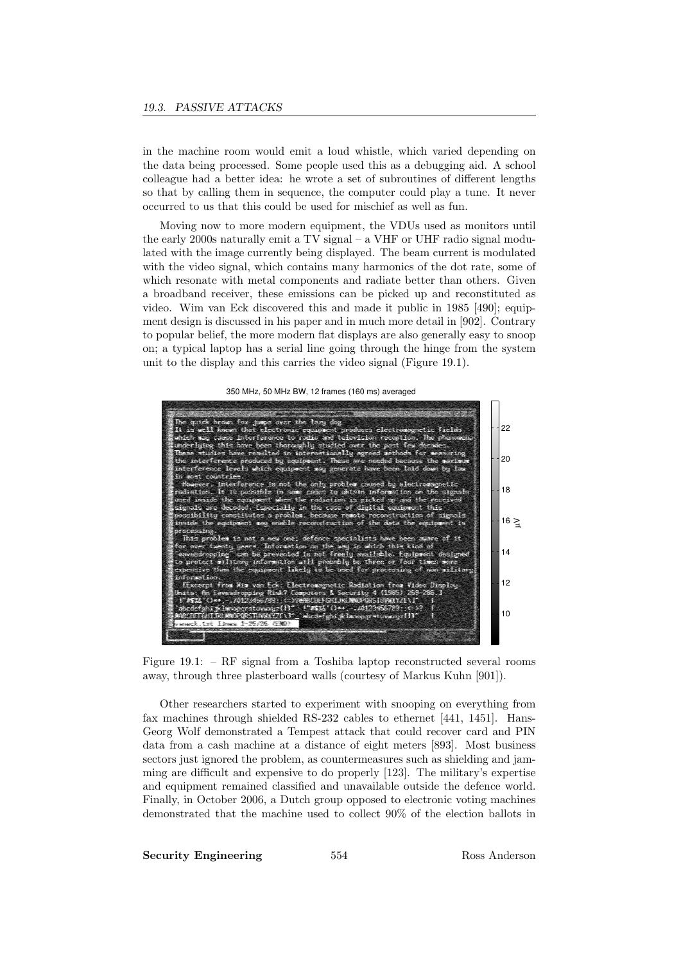in the machine room would emit a loud whistle, which varied depending on the data being processed. Some people used this as a debugging aid. A school colleague had a better idea: he wrote a set of subroutines of different lengths so that by calling them in sequence, the computer could play a tune. It never occurred to us that this could be used for mischief as well as fun.

Moving now to more modern equipment, the VDUs used as monitors until the early 2000s naturally emit a TV signal  $-$  a VHF or UHF radio signal modulated with the image currently being displayed. The beam current is modulated with the video signal, which contains many harmonics of the dot rate, some of which resonate with metal components and radiate better than others. Given a broadband receiver, these emissions can be picked up and reconstituted as video. Wim van Eck discovered this and made it public in 1985 [490]; equipment design is discussed in his paper and in much more detail in [902]. Contrary to popular belief, the more modern flat displays are also generally easy to snoop on; a typical laptop has a serial line going through the hinge from the system unit to the display and this carries the video signal (Figure 19.1).





Figure 19.1: – RF signal from a Toshiba laptop reconstructed several rooms away, through three plasterboard walls (courtesy of Markus Kuhn [901]).

Other researchers started to experiment with snooping on everything from fax machines through shielded RS-232 cables to ethernet [441, 1451]. Hans-Georg Wolf demonstrated a Tempest attack that could recover card and PIN data from a cash machine at a distance of eight meters [893]. Most business sectors just ignored the problem, as countermeasures such as shielding and jamming are difficult and expensive to do properly  $[123]$ . The military's expertise and equipment remained classified and unavailable outside the defence world. Finally, in October 2006, a Dutch group opposed to electronic voting machines demonstrated that the machine used to collect 90% of the election ballots in

Security Engineering 554 Ross Anderson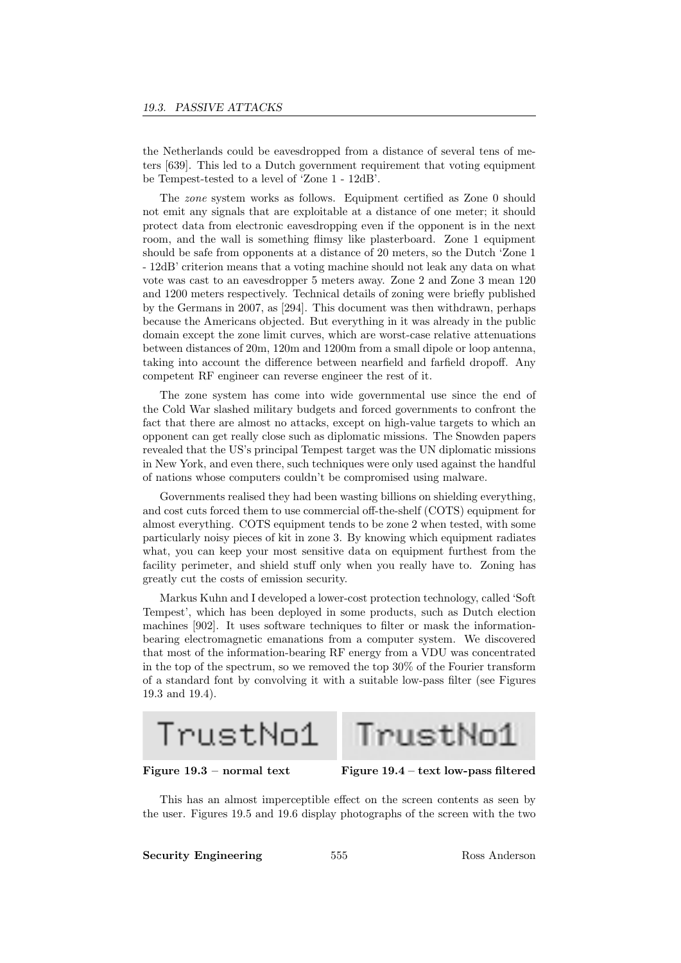the Netherlands could be eavesdropped from a distance of several tens of meters [639]. This led to a Dutch government requirement that voting equipment be Tempest-tested to a level of 'Zone 1 - 12dB'.

The *zone* system works as follows. Equipment certified as Zone 0 should not emit any signals that are exploitable at a distance of one meter; it should protect data from electronic eavesdropping even if the opponent is in the next room, and the wall is something flimsy like plasterboard. Zone 1 equipment should be safe from opponents at a distance of 20 meters, so the Dutch 'Zone 1 - 12dB' criterion means that a voting machine should not leak any data on what vote was cast to an eavesdropper 5 meters away. Zone 2 and Zone 3 mean 120 and 1200 meters respectively. Technical details of zoning were briefly published by the Germans in 2007, as [294]. This document was then withdrawn, perhaps because the Americans objected. But everything in it was already in the public domain except the zone limit curves, which are worst-case relative attenuations between distances of 20m, 120m and 1200m from a small dipole or loop antenna, taking into account the difference between nearfield and farfield dropoff. Any competent RF engineer can reverse engineer the rest of it.

The zone system has come into wide governmental use since the end of the Cold War slashed military budgets and forced governments to confront the fact that there are almost no attacks, except on high-value targets to which an opponent can get really close such as diplomatic missions. The Snowden papers revealed that the US's principal Tempest target was the UN diplomatic missions in New York, and even there, such techniques were only used against the handful of nations whose computers couldn't be compromised using malware.

Governments realised they had been wasting billions on shielding everything, and cost cuts forced them to use commercial off-the-shelf (COTS) equipment for almost everything. COTS equipment tends to be zone 2 when tested, with some particularly noisy pieces of kit in zone 3. By knowing which equipment radiates what, you can keep your most sensitive data on equipment furthest from the facility perimeter, and shield stuff only when you really have to. Zoning has greatly cut the costs of emission security.

Markus Kuhn and I developed a lower-cost protection technology, called 'Soft Tempest', which has been deployed in some products, such as Dutch election machines [902]. It uses software techniques to filter or mask the informationbearing electromagnetic emanations from a computer system. We discovered that most of the information-bearing RF energy from a VDU was concentrated in the top of the spectrum, so we removed the top 30% of the Fourier transform of a standard font by convolving it with a suitable low-pass filter (see Figures 19.3 and 19.4).

# TrustNo1



Figure  $19.3$  – normal text Figure  $19.4$  – text low-pass filtered

This has an almost imperceptible effect on the screen contents as seen by the user. Figures 19.5 and 19.6 display photographs of the screen with the two

Security Engineering 555 Ross Anderson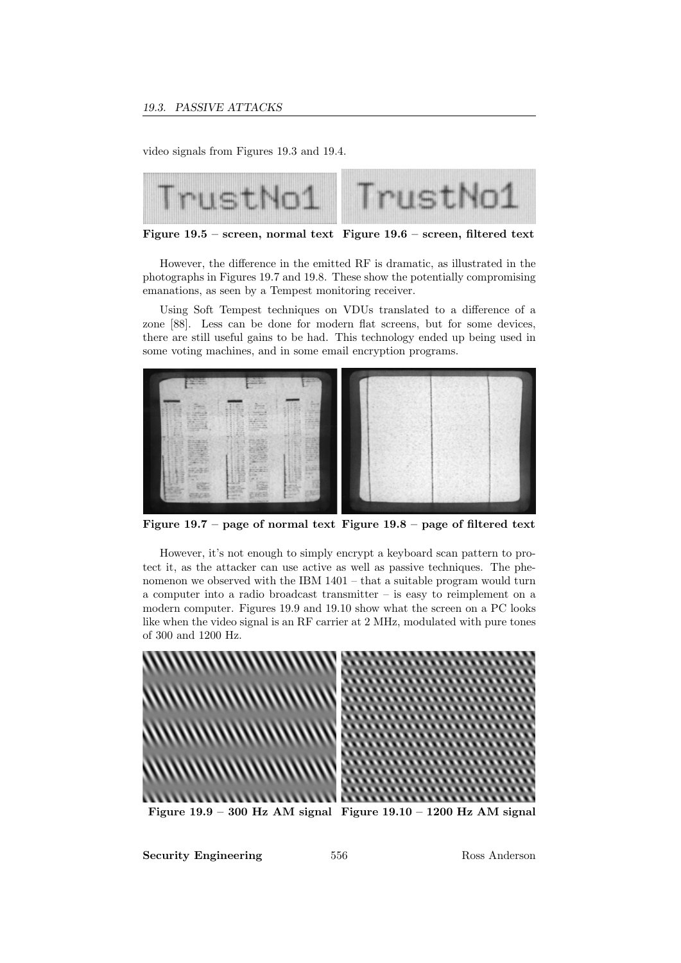video signals from Figures 19.3 and 19.4.



Figure  $19.5$  – screen, normal text Figure  $19.6$  – screen, filtered text

However, the difference in the emitted RF is dramatic, as illustrated in the photographs in Figures 19.7 and 19.8. These show the potentially compromising emanations, as seen by a Tempest monitoring receiver.

Using Soft Tempest techniques on VDUs translated to a difference of a zone [88]. Less can be done for modern flat screens, but for some devices, there are still useful gains to be had. This technology ended up being used in some voting machines, and in some email encryption programs.



Figure 19.7 – page of normal text Figure 19.8 – page of filtered text

However, it's not enough to simply encrypt a keyboard scan pattern to protect it, as the attacker can use active as well as passive techniques. The phenomenon we observed with the IBM 1401 – that a suitable program would turn a computer into a radio broadcast transmitter – is easy to reimplement on a modern computer. Figures 19.9 and 19.10 show what the screen on a PC looks like when the video signal is an RF carrier at 2 MHz, modulated with pure tones of 300 and 1200 Hz.



Security Engineering 556 Ross Anderson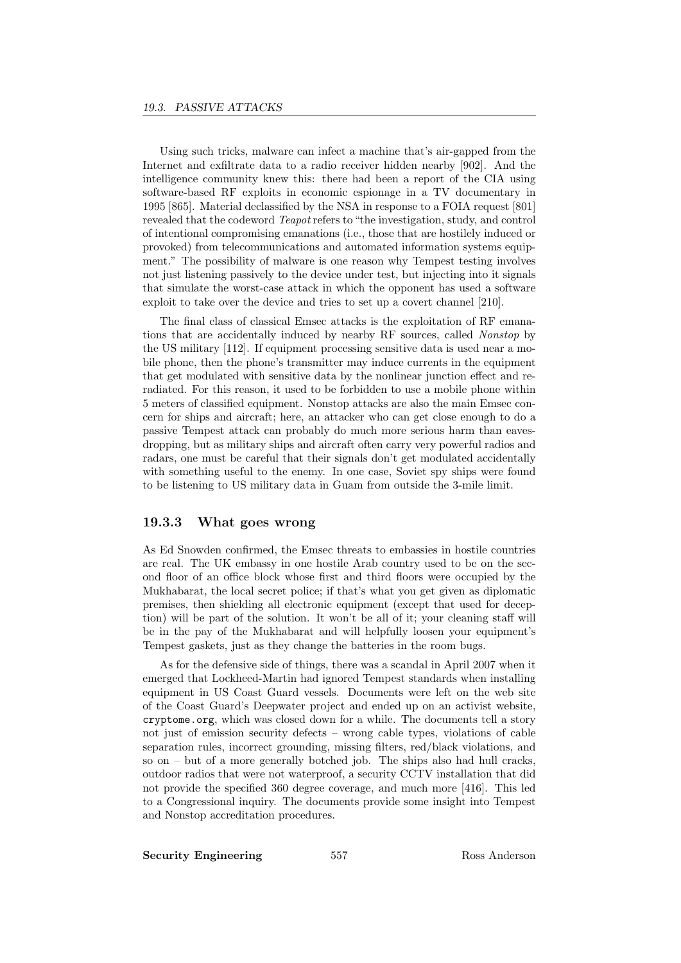Using such tricks, malware can infect a machine that's air-gapped from the Internet and exfiltrate data to a radio receiver hidden nearby [902]. And the intelligence community knew this: there had been a report of the CIA using software-based RF exploits in economic espionage in a TV documentary in 1995 [865]. Material declassified by the NSA in response to a FOIA request [801] revealed that the codeword *Teapot* refers to "the investigation, study, and control of intentional compromising emanations (i.e., those that are hostilely induced or provoked) from telecommunications and automated information systems equipment." The possibility of malware is one reason why Tempest testing involves not just listening passively to the device under test, but injecting into it signals that simulate the worst-case attack in which the opponent has used a software exploit to take over the device and tries to set up a covert channel [210].

The final class of classical Emsec attacks is the exploitation of RF emanations that are accidentally induced by nearby RF sources, called *Nonstop* by the US military [112]. If equipment processing sensitive data is used near a mobile phone, then the phone's transmitter may induce currents in the equipment that get modulated with sensitive data by the nonlinear junction effect and reradiated. For this reason, it used to be forbidden to use a mobile phone within 5 meters of classified equipment. Nonstop attacks are also the main Emsec concern for ships and aircraft; here, an attacker who can get close enough to do a passive Tempest attack can probably do much more serious harm than eavesdropping, but as military ships and aircraft often carry very powerful radios and radars, one must be careful that their signals don't get modulated accidentally with something useful to the enemy. In one case, Soviet spy ships were found to be listening to US military data in Guam from outside the 3-mile limit.

#### 19.3.3 What goes wrong

As Ed Snowden confirmed, the Emsec threats to embassies in hostile countries are real. The UK embassy in one hostile Arab country used to be on the second floor of an office block whose first and third floors were occupied by the Mukhabarat, the local secret police; if that's what you get given as diplomatic premises, then shielding all electronic equipment (except that used for deception) will be part of the solution. It won't be all of it; your cleaning staff will be in the pay of the Mukhabarat and will helpfully loosen your equipment's Tempest gaskets, just as they change the batteries in the room bugs.

As for the defensive side of things, there was a scandal in April 2007 when it emerged that Lockheed-Martin had ignored Tempest standards when installing equipment in US Coast Guard vessels. Documents were left on the web site of the Coast Guard's Deepwater project and ended up on an activist website, cryptome.org, which was closed down for a while. The documents tell a story not just of emission security defects – wrong cable types, violations of cable separation rules, incorrect grounding, missing filters, red/black violations, and so on  $-$  but of a more generally botched job. The ships also had hull cracks, outdoor radios that were not waterproof, a security CCTV installation that did not provide the specified 360 degree coverage, and much more [416]. This led to a Congressional inquiry. The documents provide some insight into Tempest and Nonstop accreditation procedures.

Security Engineering 557 Ross Anderson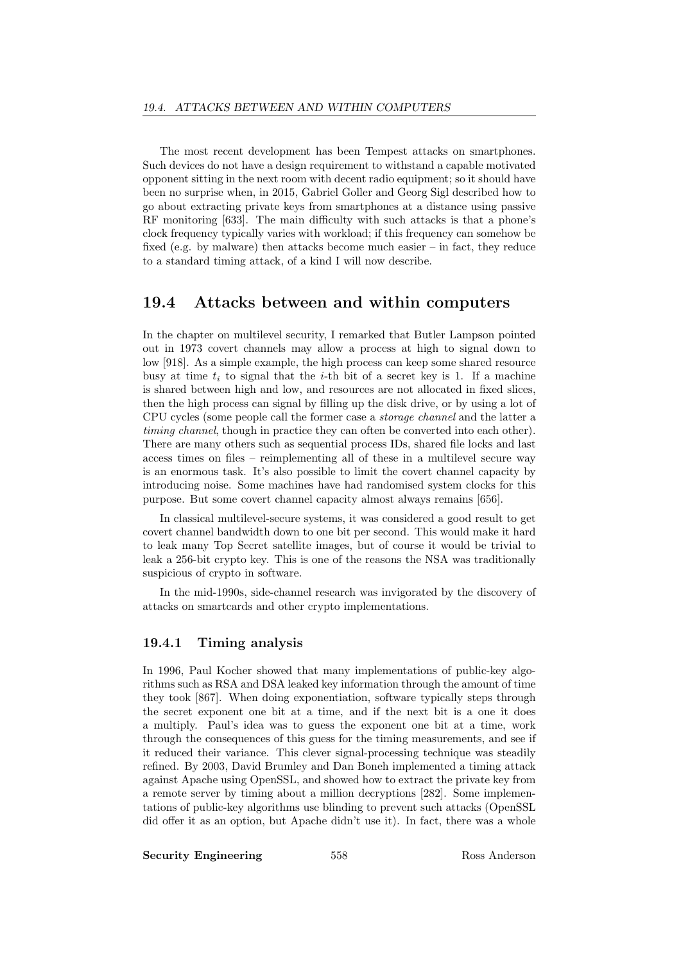The most recent development has been Tempest attacks on smartphones. Such devices do not have a design requirement to withstand a capable motivated opponent sitting in the next room with decent radio equipment; so it should have been no surprise when, in 2015, Gabriel Goller and Georg Sigl described how to go about extracting private keys from smartphones at a distance using passive RF monitoring  $[633]$ . The main difficulty with such attacks is that a phone's clock frequency typically varies with workload; if this frequency can somehow be fixed (e.g. by malware) then attacks become much easier – in fact, they reduce to a standard timing attack, of a kind I will now describe.

## 19.4 Attacks between and within computers

In the chapter on multilevel security, I remarked that Butler Lampson pointed out in 1973 covert channels may allow a process at high to signal down to low [918]. As a simple example, the high process can keep some shared resource busy at time  $t_i$  to signal that the *i*-th bit of a secret key is 1. If a machine is shared between high and low, and resources are not allocated in fixed slices, then the high process can signal by filling up the disk drive, or by using a lot of CPU cycles (some people call the former case a *storage channel* and the latter a *timing channel*, though in practice they can often be converted into each other). There are many others such as sequential process IDs, shared file locks and last access times on files – reimplementing all of these in a multilevel secure way is an enormous task. It's also possible to limit the covert channel capacity by introducing noise. Some machines have had randomised system clocks for this purpose. But some covert channel capacity almost always remains [656].

In classical multilevel-secure systems, it was considered a good result to get covert channel bandwidth down to one bit per second. This would make it hard to leak many Top Secret satellite images, but of course it would be trivial to leak a 256-bit crypto key. This is one of the reasons the NSA was traditionally suspicious of crypto in software.

In the mid-1990s, side-channel research was invigorated by the discovery of attacks on smartcards and other crypto implementations.

#### 19.4.1 Timing analysis

In 1996, Paul Kocher showed that many implementations of public-key algorithms such as RSA and DSA leaked key information through the amount of time they took [867]. When doing exponentiation, software typically steps through the secret exponent one bit at a time, and if the next bit is a one it does a multiply. Paul's idea was to guess the exponent one bit at a time, work through the consequences of this guess for the timing measurements, and see if it reduced their variance. This clever signal-processing technique was steadily refined. By 2003, David Brumley and Dan Boneh implemented a timing attack against Apache using OpenSSL, and showed how to extract the private key from a remote server by timing about a million decryptions [282]. Some implementations of public-key algorithms use blinding to prevent such attacks (OpenSSL did offer it as an option, but Apache didn't use it). In fact, there was a whole

Security Engineering 558 Ross Anderson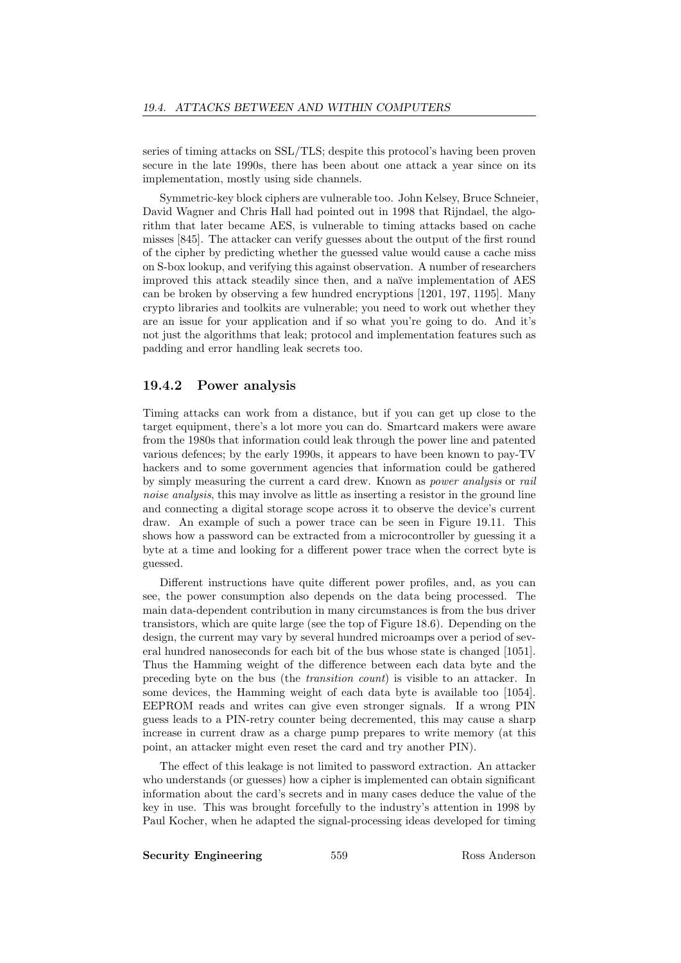series of timing attacks on SSL/TLS; despite this protocol's having been proven secure in the late 1990s, there has been about one attack a year since on its implementation, mostly using side channels.

Symmetric-key block ciphers are vulnerable too. John Kelsey, Bruce Schneier, David Wagner and Chris Hall had pointed out in 1998 that Rijndael, the algorithm that later became AES, is vulnerable to timing attacks based on cache misses [845]. The attacker can verify guesses about the output of the first round of the cipher by predicting whether the guessed value would cause a cache miss on S-box lookup, and verifying this against observation. A number of researchers improved this attack steadily since then, and a naïve implementation of AES can be broken by observing a few hundred encryptions [1201, 197, 1195]. Many crypto libraries and toolkits are vulnerable; you need to work out whether they are an issue for your application and if so what you're going to do. And it's not just the algorithms that leak; protocol and implementation features such as padding and error handling leak secrets too.

#### 19.4.2 Power analysis

Timing attacks can work from a distance, but if you can get up close to the target equipment, there's a lot more you can do. Smartcard makers were aware from the 1980s that information could leak through the power line and patented various defences; by the early 1990s, it appears to have been known to pay-TV hackers and to some government agencies that information could be gathered by simply measuring the current a card drew. Known as *power analysis* or *rail noise analysis*, this may involve as little as inserting a resistor in the ground line and connecting a digital storage scope across it to observe the device's current draw. An example of such a power trace can be seen in Figure 19.11. This shows how a password can be extracted from a microcontroller by guessing it a byte at a time and looking for a different power trace when the correct byte is guessed.

Different instructions have quite different power profiles, and, as you can see, the power consumption also depends on the data being processed. The main data-dependent contribution in many circumstances is from the bus driver transistors, which are quite large (see the top of Figure 18.6). Depending on the design, the current may vary by several hundred microamps over a period of several hundred nanoseconds for each bit of the bus whose state is changed [1051]. Thus the Hamming weight of the difference between each data byte and the preceding byte on the bus (the *transition count*) is visible to an attacker. In some devices, the Hamming weight of each data byte is available too [1054]. EEPROM reads and writes can give even stronger signals. If a wrong PIN guess leads to a PIN-retry counter being decremented, this may cause a sharp increase in current draw as a charge pump prepares to write memory (at this point, an attacker might even reset the card and try another PIN).

The effect of this leakage is not limited to password extraction. An attacker who understands (or guesses) how a cipher is implemented can obtain significant information about the card's secrets and in many cases deduce the value of the key in use. This was brought forcefully to the industry's attention in 1998 by Paul Kocher, when he adapted the signal-processing ideas developed for timing

Security Engineering 559 Ross Anderson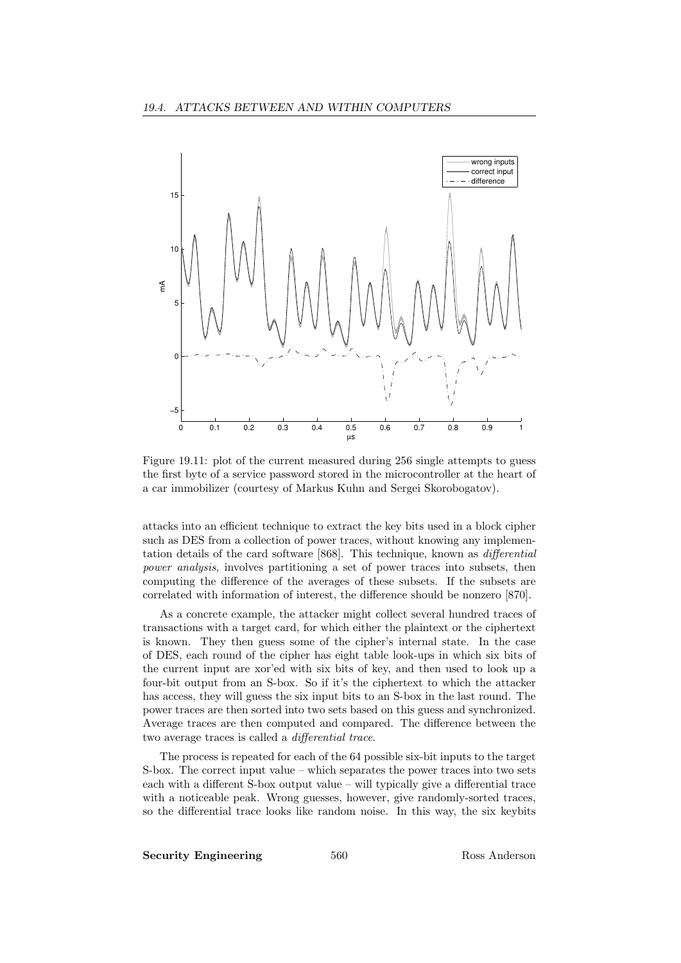

Figure 19.11: plot of the current measured during 256 single attempts to guess the first byte of a service password stored in the microcontroller at the heart of a car immobilizer (courtesy of Markus Kuhn and Sergei Skorobogatov).

attacks into an efficient technique to extract the key bits used in a block cipher such as DES from a collection of power traces, without knowing any implementation details of the card software [868]. This technique, known as *differential power analysis*, involves partitioning a set of power traces into subsets, then computing the difference of the averages of these subsets. If the subsets are correlated with information of interest, the difference should be nonzero [870].

As a concrete example, the attacker might collect several hundred traces of transactions with a target card, for which either the plaintext or the ciphertext is known. They then guess some of the cipher's internal state. In the case of DES, each round of the cipher has eight table look-ups in which six bits of the current input are xor'ed with six bits of key, and then used to look up a four-bit output from an S-box. So if it's the ciphertext to which the attacker has access, they will guess the six input bits to an S-box in the last round. The power traces are then sorted into two sets based on this guess and synchronized. Average traces are then computed and compared. The difference between the two average traces is called a *differential trace*.

The process is repeated for each of the 64 possible six-bit inputs to the target S-box. The correct input value – which separates the power traces into two sets each with a different  $S$ -box output value – will typically give a differential trace with a noticeable peak. Wrong guesses, however, give randomly-sorted traces, so the differential trace looks like random noise. In this way, the six keybits

Security Engineering 560 Ross Anderson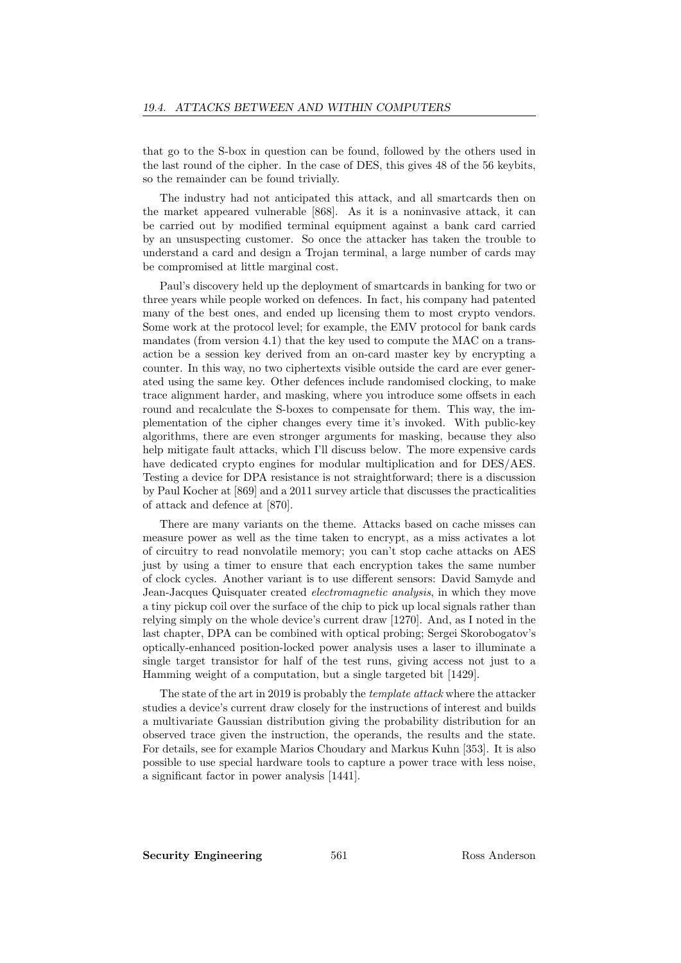that go to the S-box in question can be found, followed by the others used in the last round of the cipher. In the case of DES, this gives 48 of the 56 keybits, so the remainder can be found trivially.

The industry had not anticipated this attack, and all smartcards then on the market appeared vulnerable [868]. As it is a noninvasive attack, it can be carried out by modified terminal equipment against a bank card carried by an unsuspecting customer. So once the attacker has taken the trouble to understand a card and design a Trojan terminal, a large number of cards may be compromised at little marginal cost.

Paul's discovery held up the deployment of smartcards in banking for two or three years while people worked on defences. In fact, his company had patented many of the best ones, and ended up licensing them to most crypto vendors. Some work at the protocol level; for example, the EMV protocol for bank cards mandates (from version 4.1) that the key used to compute the MAC on a transaction be a session key derived from an on-card master key by encrypting a counter. In this way, no two ciphertexts visible outside the card are ever generated using the same key. Other defences include randomised clocking, to make trace alignment harder, and masking, where you introduce some offsets in each round and recalculate the S-boxes to compensate for them. This way, the implementation of the cipher changes every time it's invoked. With public-key algorithms, there are even stronger arguments for masking, because they also help mitigate fault attacks, which I'll discuss below. The more expensive cards have dedicated crypto engines for modular multiplication and for DES/AES. Testing a device for DPA resistance is not straightforward; there is a discussion by Paul Kocher at [869] and a 2011 survey article that discusses the practicalities of attack and defence at [870].

There are many variants on the theme. Attacks based on cache misses can measure power as well as the time taken to encrypt, as a miss activates a lot of circuitry to read nonvolatile memory; you can't stop cache attacks on AES just by using a timer to ensure that each encryption takes the same number of clock cycles. Another variant is to use different sensors: David Samyde and Jean-Jacques Quisquater created *electromagnetic analysis*, in which they move a tiny pickup coil over the surface of the chip to pick up local signals rather than relying simply on the whole device's current draw [1270]. And, as I noted in the last chapter, DPA can be combined with optical probing; Sergei Skorobogatov's optically-enhanced position-locked power analysis uses a laser to illuminate a single target transistor for half of the test runs, giving access not just to a Hamming weight of a computation, but a single targeted bit [1429].

The state of the art in 2019 is probably the *template attack* where the attacker studies a device's current draw closely for the instructions of interest and builds a multivariate Gaussian distribution giving the probability distribution for an observed trace given the instruction, the operands, the results and the state. For details, see for example Marios Choudary and Markus Kuhn [353]. It is also possible to use special hardware tools to capture a power trace with less noise, a significant factor in power analysis [1441].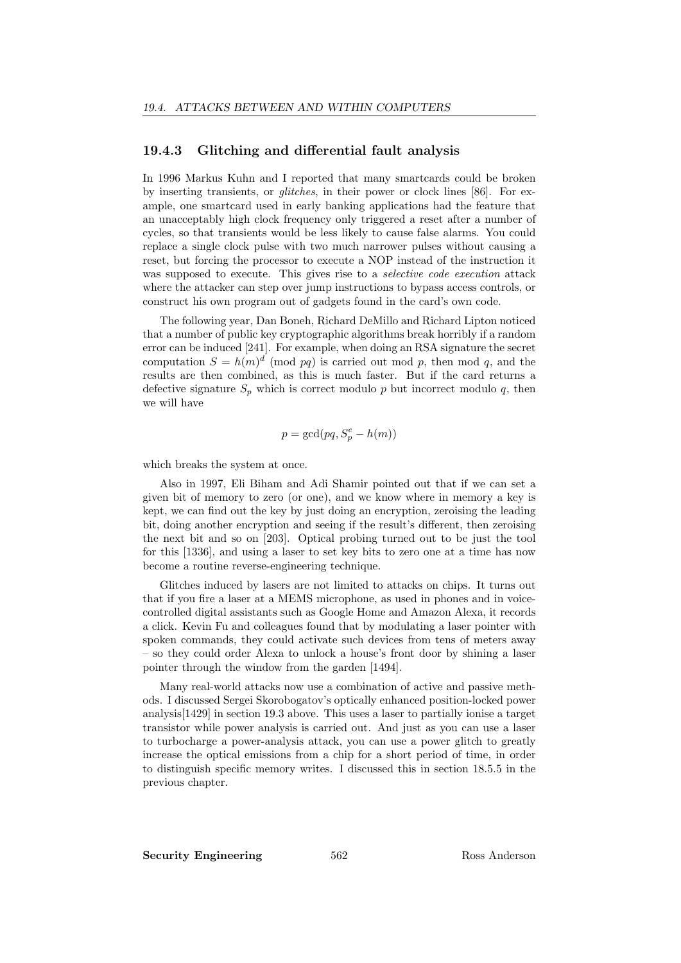#### 19.4.3 Glitching and differential fault analysis

In 1996 Markus Kuhn and I reported that many smartcards could be broken by inserting transients, or *glitches*, in their power or clock lines [86]. For example, one smartcard used in early banking applications had the feature that an unacceptably high clock frequency only triggered a reset after a number of cycles, so that transients would be less likely to cause false alarms. You could replace a single clock pulse with two much narrower pulses without causing a reset, but forcing the processor to execute a NOP instead of the instruction it was supposed to execute. This gives rise to a *selective code execution* attack where the attacker can step over jump instructions to bypass access controls, or construct his own program out of gadgets found in the card's own code.

The following year, Dan Boneh, Richard DeMillo and Richard Lipton noticed that a number of public key cryptographic algorithms break horribly if a random error can be induced [241]. For example, when doing an RSA signature the secret computation  $S = h(m)^d$  (mod *pq*) is carried out mod *p*, then mod *q*, and the results are then combined, as this is much faster. But if the card returns a defective signature  $S_p$  which is correct modulo  $p$  but incorrect modulo  $q$ , then we will have

$$
p = \gcd(pq, S_p^e - h(m))
$$

which breaks the system at once.

Also in 1997, Eli Biham and Adi Shamir pointed out that if we can set a given bit of memory to zero (or one), and we know where in memory a key is kept, we can find out the key by just doing an encryption, zeroising the leading bit, doing another encryption and seeing if the result's different, then zeroising the next bit and so on [203]. Optical probing turned out to be just the tool for this [1336], and using a laser to set key bits to zero one at a time has now become a routine reverse-engineering technique.

Glitches induced by lasers are not limited to attacks on chips. It turns out that if you fire a laser at a MEMS microphone, as used in phones and in voicecontrolled digital assistants such as Google Home and Amazon Alexa, it records a click. Kevin Fu and colleagues found that by modulating a laser pointer with spoken commands, they could activate such devices from tens of meters away – so they could order Alexa to unlock a house's front door by shining a laser pointer through the window from the garden [1494].

Many real-world attacks now use a combination of active and passive methods. I discussed Sergei Skorobogatov's optically enhanced position-locked power analysis[1429] in section 19.3 above. This uses a laser to partially ionise a target transistor while power analysis is carried out. And just as you can use a laser to turbocharge a power-analysis attack, you can use a power glitch to greatly increase the optical emissions from a chip for a short period of time, in order to distinguish specific memory writes. I discussed this in section 18.5.5 in the previous chapter.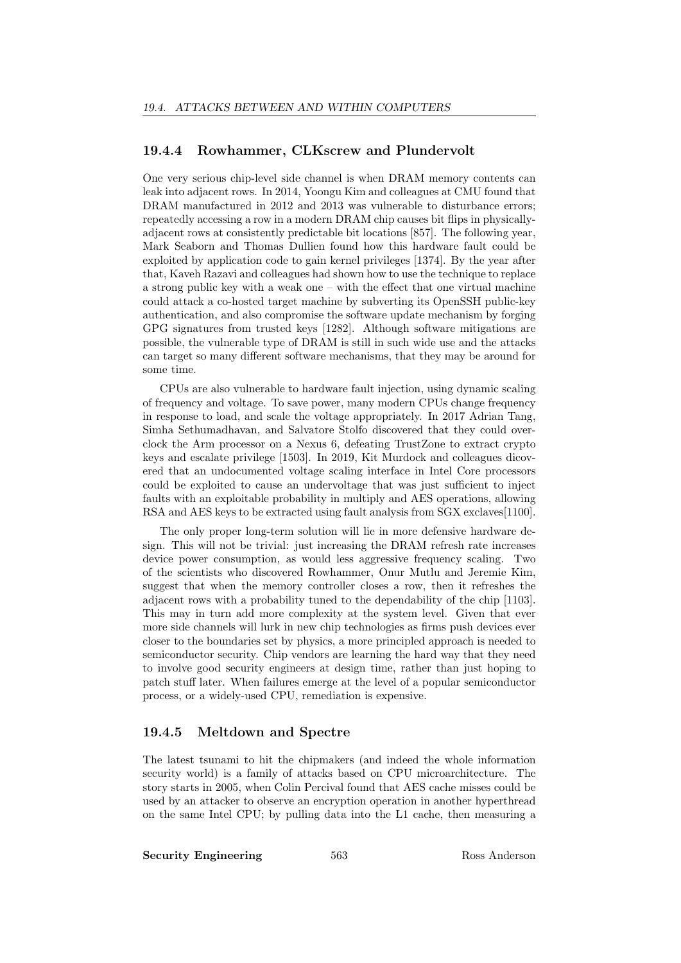#### 19.4.4 Rowhammer, CLKscrew and Plundervolt

One very serious chip-level side channel is when DRAM memory contents can leak into adjacent rows. In 2014, Yoongu Kim and colleagues at CMU found that DRAM manufactured in 2012 and 2013 was vulnerable to disturbance errors; repeatedly accessing a row in a modern DRAM chip causes bit flips in physicallyadjacent rows at consistently predictable bit locations [857]. The following year, Mark Seaborn and Thomas Dullien found how this hardware fault could be exploited by application code to gain kernel privileges [1374]. By the year after that, Kaveh Razavi and colleagues had shown how to use the technique to replace a strong public key with a weak one  $-$  with the effect that one virtual machine could attack a co-hosted target machine by subverting its OpenSSH public-key authentication, and also compromise the software update mechanism by forging GPG signatures from trusted keys [1282]. Although software mitigations are possible, the vulnerable type of DRAM is still in such wide use and the attacks can target so many different software mechanisms, that they may be around for some time.

CPUs are also vulnerable to hardware fault injection, using dynamic scaling of frequency and voltage. To save power, many modern CPUs change frequency in response to load, and scale the voltage appropriately. In 2017 Adrian Tang, Simha Sethumadhavan, and Salvatore Stolfo discovered that they could overclock the Arm processor on a Nexus 6, defeating TrustZone to extract crypto keys and escalate privilege [1503]. In 2019, Kit Murdock and colleagues dicovered that an undocumented voltage scaling interface in Intel Core processors could be exploited to cause an undervoltage that was just sufficient to inject faults with an exploitable probability in multiply and AES operations, allowing RSA and AES keys to be extracted using fault analysis from SGX exclaves[1100].

The only proper long-term solution will lie in more defensive hardware design. This will not be trivial: just increasing the DRAM refresh rate increases device power consumption, as would less aggressive frequency scaling. Two of the scientists who discovered Rowhammer, Onur Mutlu and Jeremie Kim, suggest that when the memory controller closes a row, then it refreshes the adjacent rows with a probability tuned to the dependability of the chip [1103]. This may in turn add more complexity at the system level. Given that ever more side channels will lurk in new chip technologies as firms push devices ever closer to the boundaries set by physics, a more principled approach is needed to semiconductor security. Chip vendors are learning the hard way that they need to involve good security engineers at design time, rather than just hoping to patch stuff later. When failures emerge at the level of a popular semiconductor process, or a widely-used CPU, remediation is expensive.

#### 19.4.5 Meltdown and Spectre

The latest tsunami to hit the chipmakers (and indeed the whole information security world) is a family of attacks based on CPU microarchitecture. The story starts in 2005, when Colin Percival found that AES cache misses could be used by an attacker to observe an encryption operation in another hyperthread on the same Intel CPU; by pulling data into the L1 cache, then measuring a

Security Engineering 563 Ross Anderson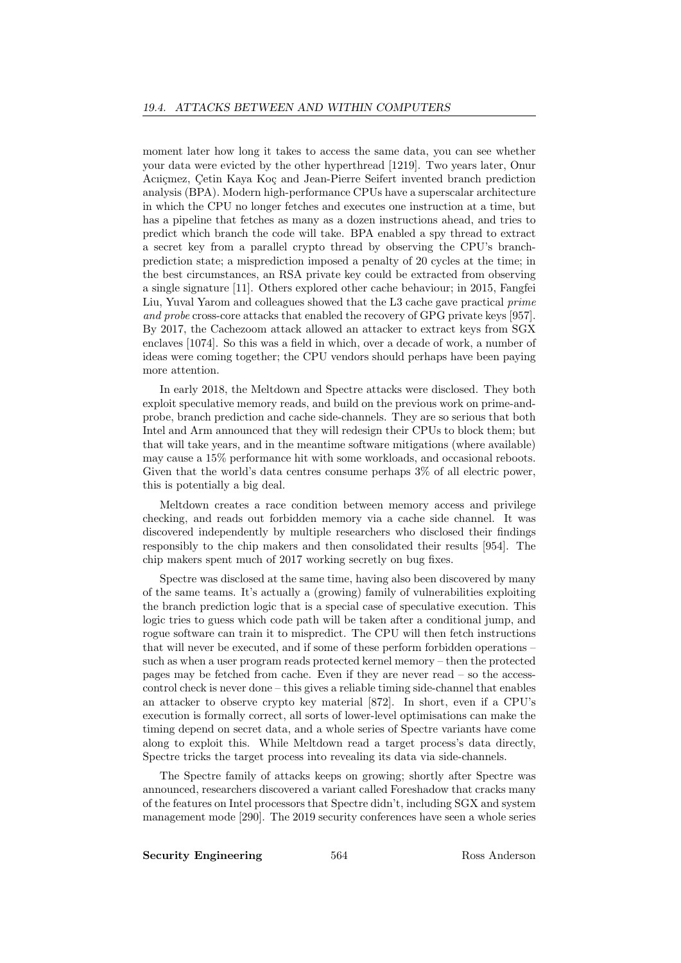moment later how long it takes to access the same data, you can see whether your data were evicted by the other hyperthread [1219]. Two years later, Onur Aciiçmez, Çetin Kaya Koç and Jean-Pierre Seifert invented branch prediction analysis (BPA). Modern high-performance CPUs have a superscalar architecture in which the CPU no longer fetches and executes one instruction at a time, but has a pipeline that fetches as many as a dozen instructions ahead, and tries to predict which branch the code will take. BPA enabled a spy thread to extract a secret key from a parallel crypto thread by observing the CPU's branchprediction state; a misprediction imposed a penalty of 20 cycles at the time; in the best circumstances, an RSA private key could be extracted from observing a single signature [11]. Others explored other cache behaviour; in 2015, Fangfei Liu, Yuval Yarom and colleagues showed that the L3 cache gave practical *prime and probe* cross-core attacks that enabled the recovery of GPG private keys [957]. By 2017, the Cachezoom attack allowed an attacker to extract keys from SGX enclaves [1074]. So this was a field in which, over a decade of work, a number of ideas were coming together; the CPU vendors should perhaps have been paying more attention.

In early 2018, the Meltdown and Spectre attacks were disclosed. They both exploit speculative memory reads, and build on the previous work on prime-andprobe, branch prediction and cache side-channels. They are so serious that both Intel and Arm announced that they will redesign their CPUs to block them; but that will take years, and in the meantime software mitigations (where available) may cause a 15% performance hit with some workloads, and occasional reboots. Given that the world's data centres consume perhaps 3% of all electric power, this is potentially a big deal.

Meltdown creates a race condition between memory access and privilege checking, and reads out forbidden memory via a cache side channel. It was discovered independently by multiple researchers who disclosed their findings responsibly to the chip makers and then consolidated their results [954]. The chip makers spent much of 2017 working secretly on bug fixes.

Spectre was disclosed at the same time, having also been discovered by many of the same teams. It's actually a (growing) family of vulnerabilities exploiting the branch prediction logic that is a special case of speculative execution. This logic tries to guess which code path will be taken after a conditional jump, and rogue software can train it to mispredict. The CPU will then fetch instructions that will never be executed, and if some of these perform forbidden operations – such as when a user program reads protected kernel memory – then the protected pages may be fetched from cache. Even if they are never read – so the accesscontrol check is never done – this gives a reliable timing side-channel that enables an attacker to observe crypto key material [872]. In short, even if a CPU's execution is formally correct, all sorts of lower-level optimisations can make the timing depend on secret data, and a whole series of Spectre variants have come along to exploit this. While Meltdown read a target process's data directly, Spectre tricks the target process into revealing its data via side-channels.

The Spectre family of attacks keeps on growing; shortly after Spectre was announced, researchers discovered a variant called Foreshadow that cracks many of the features on Intel processors that Spectre didn't, including SGX and system management mode [290]. The 2019 security conferences have seen a whole series

Security Engineering 564 Ross Anderson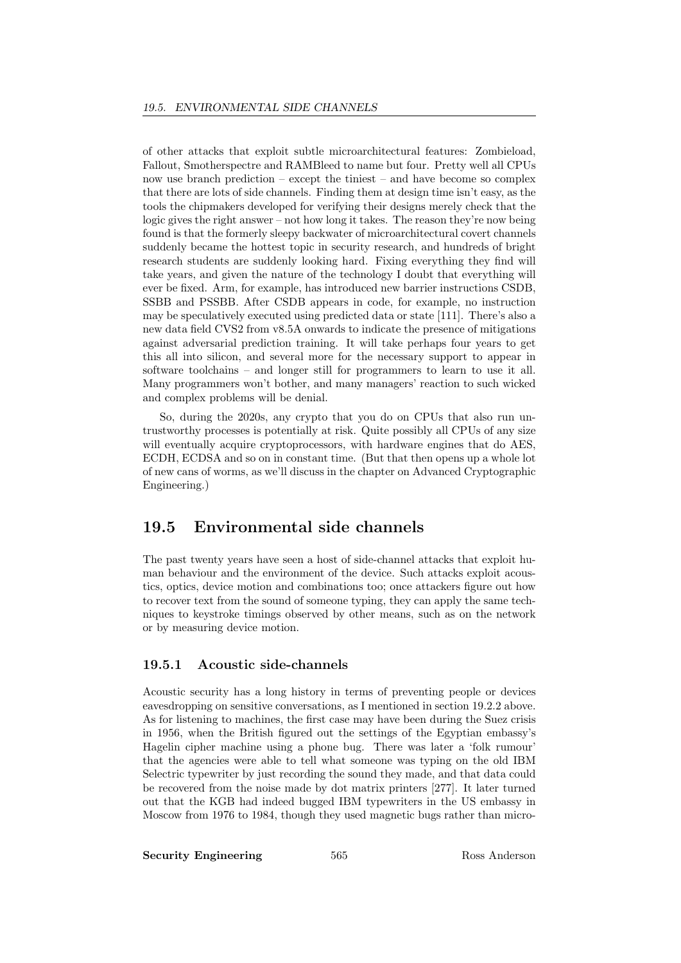of other attacks that exploit subtle microarchitectural features: Zombieload, Fallout, Smotherspectre and RAMBleed to name but four. Pretty well all CPUs now use branch prediction – except the tiniest – and have become so complex that there are lots of side channels. Finding them at design time isn't easy, as the tools the chipmakers developed for verifying their designs merely check that the logic gives the right answer – not how long it takes. The reason they're now being found is that the formerly sleepy backwater of microarchitectural covert channels suddenly became the hottest topic in security research, and hundreds of bright research students are suddenly looking hard. Fixing everything they find will take years, and given the nature of the technology I doubt that everything will ever be fixed. Arm, for example, has introduced new barrier instructions CSDB, SSBB and PSSBB. After CSDB appears in code, for example, no instruction may be speculatively executed using predicted data or state [111]. There's also a new data field CVS2 from v8.5A onwards to indicate the presence of mitigations against adversarial prediction training. It will take perhaps four years to get this all into silicon, and several more for the necessary support to appear in software toolchains – and longer still for programmers to learn to use it all. Many programmers won't bother, and many managers' reaction to such wicked and complex problems will be denial.

So, during the 2020s, any crypto that you do on CPUs that also run untrustworthy processes is potentially at risk. Quite possibly all CPUs of any size will eventually acquire cryptoprocessors, with hardware engines that do AES, ECDH, ECDSA and so on in constant time. (But that then opens up a whole lot of new cans of worms, as we'll discuss in the chapter on Advanced Cryptographic Engineering.)

## 19.5 Environmental side channels

The past twenty years have seen a host of side-channel attacks that exploit human behaviour and the environment of the device. Such attacks exploit acoustics, optics, device motion and combinations too; once attackers figure out how to recover text from the sound of someone typing, they can apply the same techniques to keystroke timings observed by other means, such as on the network or by measuring device motion.

#### 19.5.1 Acoustic side-channels

Acoustic security has a long history in terms of preventing people or devices eavesdropping on sensitive conversations, as I mentioned in section 19.2.2 above. As for listening to machines, the first case may have been during the Suez crisis in 1956, when the British figured out the settings of the Egyptian embassy's Hagelin cipher machine using a phone bug. There was later a 'folk rumour' that the agencies were able to tell what someone was typing on the old IBM Selectric typewriter by just recording the sound they made, and that data could be recovered from the noise made by dot matrix printers [277]. It later turned out that the KGB had indeed bugged IBM typewriters in the US embassy in Moscow from 1976 to 1984, though they used magnetic bugs rather than micro-

Security Engineering 565 Ross Anderson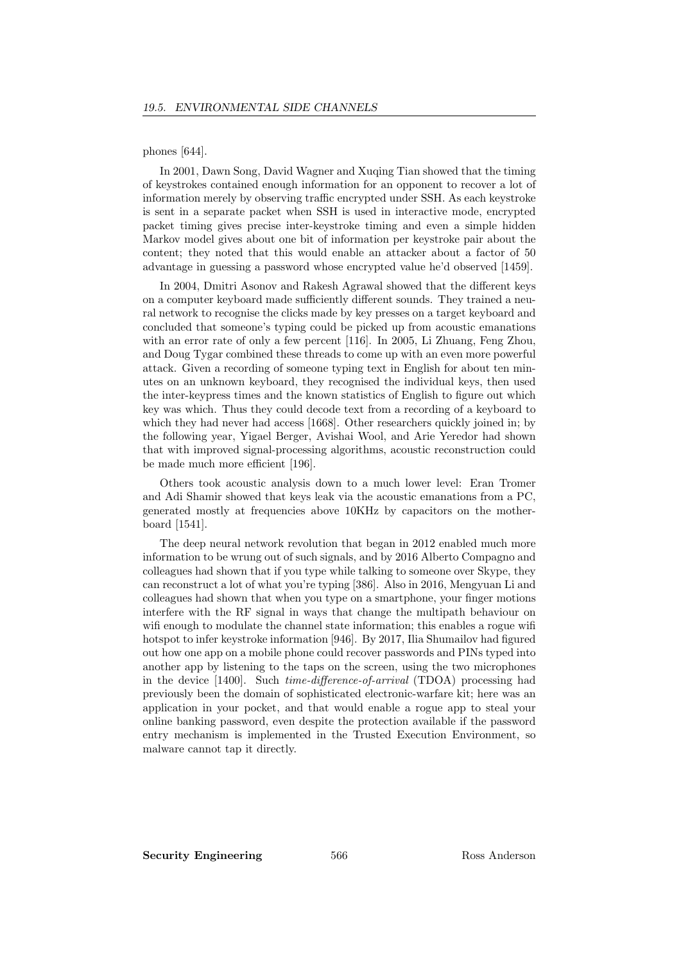#### phones [644].

In 2001, Dawn Song, David Wagner and Xuqing Tian showed that the timing of keystrokes contained enough information for an opponent to recover a lot of information merely by observing traffic encrypted under SSH. As each keystroke is sent in a separate packet when SSH is used in interactive mode, encrypted packet timing gives precise inter-keystroke timing and even a simple hidden Markov model gives about one bit of information per keystroke pair about the content; they noted that this would enable an attacker about a factor of 50 advantage in guessing a password whose encrypted value he'd observed [1459].

In 2004, Dmitri Asonov and Rakesh Agrawal showed that the different keys on a computer keyboard made sufficiently different sounds. They trained a neural network to recognise the clicks made by key presses on a target keyboard and concluded that someone's typing could be picked up from acoustic emanations with an error rate of only a few percent [116]. In 2005, Li Zhuang, Feng Zhou, and Doug Tygar combined these threads to come up with an even more powerful attack. Given a recording of someone typing text in English for about ten minutes on an unknown keyboard, they recognised the individual keys, then used the inter-keypress times and the known statistics of English to figure out which key was which. Thus they could decode text from a recording of a keyboard to which they had never had access [1668]. Other researchers quickly joined in; by the following year, Yigael Berger, Avishai Wool, and Arie Yeredor had shown that with improved signal-processing algorithms, acoustic reconstruction could be made much more efficient [196].

Others took acoustic analysis down to a much lower level: Eran Tromer and Adi Shamir showed that keys leak via the acoustic emanations from a PC, generated mostly at frequencies above 10KHz by capacitors on the motherboard [1541].

The deep neural network revolution that began in 2012 enabled much more information to be wrung out of such signals, and by 2016 Alberto Compagno and colleagues had shown that if you type while talking to someone over Skype, they can reconstruct a lot of what you're typing [386]. Also in 2016, Mengyuan Li and colleagues had shown that when you type on a smartphone, your finger motions interfere with the RF signal in ways that change the multipath behaviour on wifi enough to modulate the channel state information; this enables a rogue wifi hotspot to infer keystroke information [946]. By 2017, Ilia Shumailov had figured out how one app on a mobile phone could recover passwords and PINs typed into another app by listening to the taps on the screen, using the two microphones in the device [1400]. Such *time-difference-of-arrival* (TDOA) processing had previously been the domain of sophisticated electronic-warfare kit; here was an application in your pocket, and that would enable a rogue app to steal your online banking password, even despite the protection available if the password entry mechanism is implemented in the Trusted Execution Environment, so malware cannot tap it directly.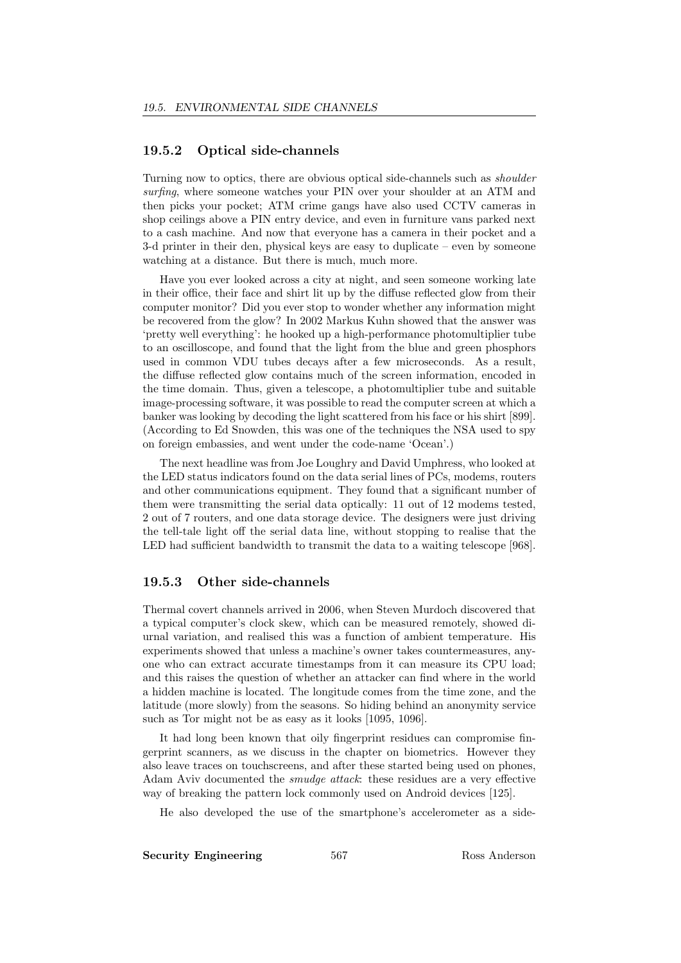#### 19.5.2 Optical side-channels

Turning now to optics, there are obvious optical side-channels such as *shoulder surfing*, where someone watches your PIN over your shoulder at an ATM and then picks your pocket; ATM crime gangs have also used CCTV cameras in shop ceilings above a PIN entry device, and even in furniture vans parked next to a cash machine. And now that everyone has a camera in their pocket and a 3-d printer in their den, physical keys are easy to duplicate – even by someone watching at a distance. But there is much, much more.

Have you ever looked across a city at night, and seen someone working late in their office, their face and shirt lit up by the diffuse reflected glow from their computer monitor? Did you ever stop to wonder whether any information might be recovered from the glow? In 2002 Markus Kuhn showed that the answer was 'pretty well everything': he hooked up a high-performance photomultiplier tube to an oscilloscope, and found that the light from the blue and green phosphors used in common VDU tubes decays after a few microseconds. As a result, the diffuse reflected glow contains much of the screen information, encoded in the time domain. Thus, given a telescope, a photomultiplier tube and suitable image-processing software, it was possible to read the computer screen at which a banker was looking by decoding the light scattered from his face or his shirt [899]. (According to Ed Snowden, this was one of the techniques the NSA used to spy on foreign embassies, and went under the code-name 'Ocean'.)

The next headline was from Joe Loughry and David Umphress, who looked at the LED status indicators found on the data serial lines of PCs, modems, routers and other communications equipment. They found that a significant number of them were transmitting the serial data optically: 11 out of 12 modems tested, 2 out of 7 routers, and one data storage device. The designers were just driving the tell-tale light off the serial data line, without stopping to realise that the LED had sufficient bandwidth to transmit the data to a waiting telescope [968].

#### 19.5.3 Other side-channels

Thermal covert channels arrived in 2006, when Steven Murdoch discovered that a typical computer's clock skew, which can be measured remotely, showed diurnal variation, and realised this was a function of ambient temperature. His experiments showed that unless a machine's owner takes countermeasures, anyone who can extract accurate timestamps from it can measure its CPU load; and this raises the question of whether an attacker can find where in the world a hidden machine is located. The longitude comes from the time zone, and the latitude (more slowly) from the seasons. So hiding behind an anonymity service such as Tor might not be as easy as it looks [1095, 1096].

It had long been known that oily fingerprint residues can compromise fingerprint scanners, as we discuss in the chapter on biometrics. However they also leave traces on touchscreens, and after these started being used on phones, Adam Aviv documented the *smudge attack*: these residues are a very effective way of breaking the pattern lock commonly used on Android devices [125].

He also developed the use of the smartphone's accelerometer as a side-

Security Engineering 567 Ross Anderson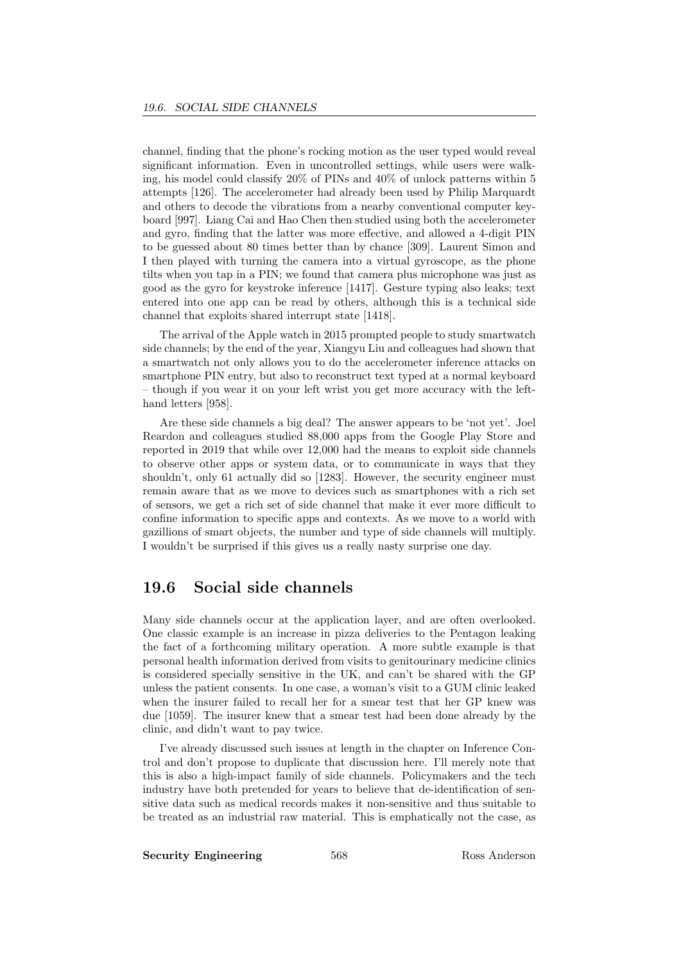channel, finding that the phone's rocking motion as the user typed would reveal significant information. Even in uncontrolled settings, while users were walking, his model could classify 20% of PINs and 40% of unlock patterns within 5 attempts [126]. The accelerometer had already been used by Philip Marquardt and others to decode the vibrations from a nearby conventional computer keyboard [997]. Liang Cai and Hao Chen then studied using both the accelerometer and gyro, finding that the latter was more effective, and allowed a 4-digit PIN to be guessed about 80 times better than by chance [309]. Laurent Simon and I then played with turning the camera into a virtual gyroscope, as the phone tilts when you tap in a PIN; we found that camera plus microphone was just as good as the gyro for keystroke inference [1417]. Gesture typing also leaks; text entered into one app can be read by others, although this is a technical side channel that exploits shared interrupt state [1418].

The arrival of the Apple watch in 2015 prompted people to study smartwatch side channels; by the end of the year, Xiangyu Liu and colleagues had shown that a smartwatch not only allows you to do the accelerometer inference attacks on smartphone PIN entry, but also to reconstruct text typed at a normal keyboard – though if you wear it on your left wrist you get more accuracy with the lefthand letters [958].

Are these side channels a big deal? The answer appears to be 'not yet'. Joel Reardon and colleagues studied 88,000 apps from the Google Play Store and reported in 2019 that while over 12,000 had the means to exploit side channels to observe other apps or system data, or to communicate in ways that they shouldn't, only 61 actually did so [1283]. However, the security engineer must remain aware that as we move to devices such as smartphones with a rich set of sensors, we get a rich set of side channel that make it ever more difficult to confine information to specific apps and contexts. As we move to a world with gazillions of smart objects, the number and type of side channels will multiply. I wouldn't be surprised if this gives us a really nasty surprise one day.

# 19.6 Social side channels

Many side channels occur at the application layer, and are often overlooked. One classic example is an increase in pizza deliveries to the Pentagon leaking the fact of a forthcoming military operation. A more subtle example is that personal health information derived from visits to genitourinary medicine clinics is considered specially sensitive in the UK, and can't be shared with the GP unless the patient consents. In one case, a woman's visit to a GUM clinic leaked when the insurer failed to recall her for a smear test that her GP knew was due [1059]. The insurer knew that a smear test had been done already by the clinic, and didn't want to pay twice.

I've already discussed such issues at length in the chapter on Inference Control and don't propose to duplicate that discussion here. I'll merely note that this is also a high-impact family of side channels. Policymakers and the tech industry have both pretended for years to believe that de-identification of sensitive data such as medical records makes it non-sensitive and thus suitable to be treated as an industrial raw material. This is emphatically not the case, as

Security Engineering 568 Ross Anderson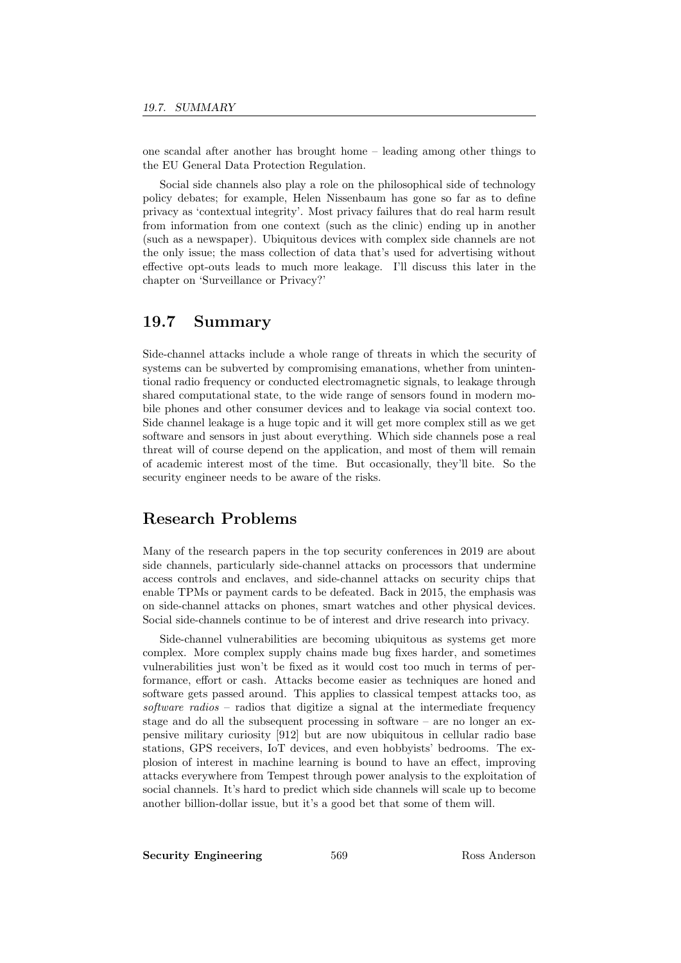one scandal after another has brought home – leading among other things to the EU General Data Protection Regulation.

Social side channels also play a role on the philosophical side of technology policy debates; for example, Helen Nissenbaum has gone so far as to define privacy as 'contextual integrity'. Most privacy failures that do real harm result from information from one context (such as the clinic) ending up in another (such as a newspaper). Ubiquitous devices with complex side channels are not the only issue; the mass collection of data that's used for advertising without effective opt-outs leads to much more leakage. I'll discuss this later in the chapter on 'Surveillance or Privacy?'

# 19.7 Summary

Side-channel attacks include a whole range of threats in which the security of systems can be subverted by compromising emanations, whether from unintentional radio frequency or conducted electromagnetic signals, to leakage through shared computational state, to the wide range of sensors found in modern mobile phones and other consumer devices and to leakage via social context too. Side channel leakage is a huge topic and it will get more complex still as we get software and sensors in just about everything. Which side channels pose a real threat will of course depend on the application, and most of them will remain of academic interest most of the time. But occasionally, they'll bite. So the security engineer needs to be aware of the risks.

# Research Problems

Many of the research papers in the top security conferences in 2019 are about side channels, particularly side-channel attacks on processors that undermine access controls and enclaves, and side-channel attacks on security chips that enable TPMs or payment cards to be defeated. Back in 2015, the emphasis was on side-channel attacks on phones, smart watches and other physical devices. Social side-channels continue to be of interest and drive research into privacy.

Side-channel vulnerabilities are becoming ubiquitous as systems get more complex. More complex supply chains made bug fixes harder, and sometimes vulnerabilities just won't be fixed as it would cost too much in terms of performance, effort or cash. Attacks become easier as techniques are honed and software gets passed around. This applies to classical tempest attacks too, as *software radios* – radios that digitize a signal at the intermediate frequency stage and do all the subsequent processing in software – are no longer an expensive military curiosity [912] but are now ubiquitous in cellular radio base stations, GPS receivers, IoT devices, and even hobbyists' bedrooms. The explosion of interest in machine learning is bound to have an effect, improving attacks everywhere from Tempest through power analysis to the exploitation of social channels. It's hard to predict which side channels will scale up to become another billion-dollar issue, but it's a good bet that some of them will.

Security Engineering 569 Ross Anderson